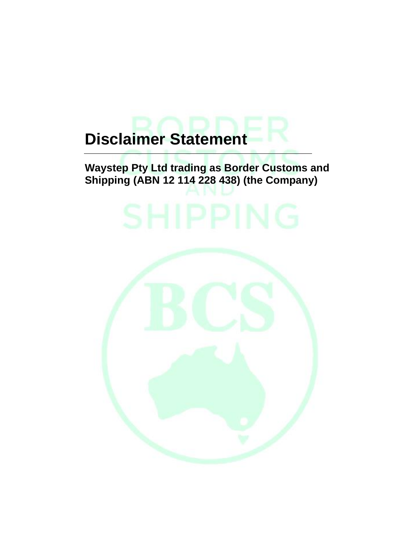# **Disclaimer Statement**

## **Waystep Pty Ltd trading as Border Customs and Shipping (ABN 12 114 228 438) (the Company)**